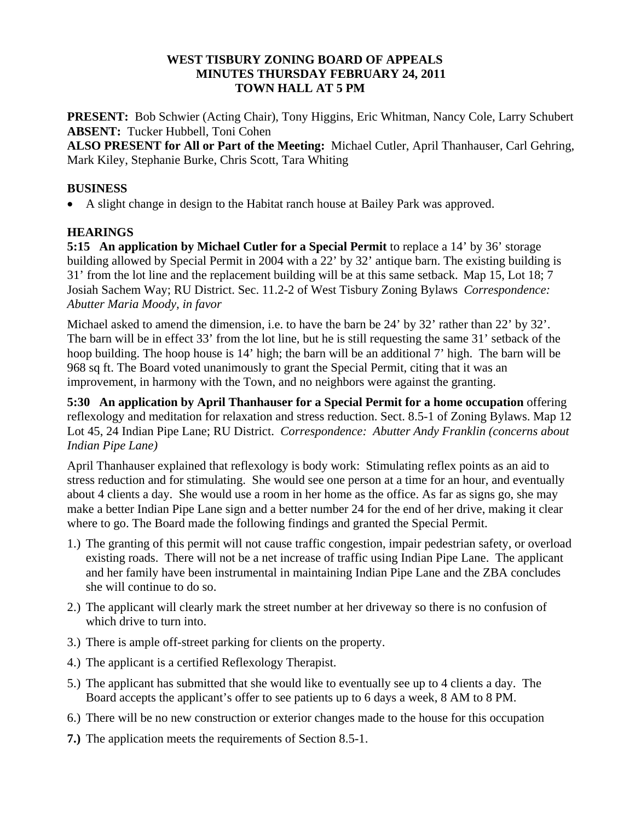#### **WEST TISBURY ZONING BOARD OF APPEALS MINUTES THURSDAY FEBRUARY 24, 2011 TOWN HALL AT 5 PM**

**PRESENT:** Bob Schwier (Acting Chair), Tony Higgins, Eric Whitman, Nancy Cole, Larry Schubert **ABSENT:** Tucker Hubbell, Toni Cohen

**ALSO PRESENT for All or Part of the Meeting:** Michael Cutler, April Thanhauser, Carl Gehring, Mark Kiley, Stephanie Burke, Chris Scott, Tara Whiting

### **BUSINESS**

• A slight change in design to the Habitat ranch house at Bailey Park was approved.

## **HEARINGS**

**5:15 An application by Michael Cutler for a Special Permit** to replace a 14' by 36' storage building allowed by Special Permit in 2004 with a 22' by 32' antique barn. The existing building is 31' from the lot line and the replacement building will be at this same setback.Map 15, Lot 18; 7 Josiah Sachem Way; RU District. Sec. 11.2-2 of West Tisbury Zoning Bylaws *Correspondence: Abutter Maria Moody, in favor* 

Michael asked to amend the dimension, i.e. to have the barn be 24' by 32' rather than 22' by 32'. The barn will be in effect 33' from the lot line, but he is still requesting the same 31' setback of the hoop building. The hoop house is 14' high; the barn will be an additional 7' high. The barn will be 968 sq ft. The Board voted unanimously to grant the Special Permit, citing that it was an improvement, in harmony with the Town, and no neighbors were against the granting.

**5:30 An application by April Thanhauser for a Special Permit for a home occupation** offering reflexology and meditation for relaxation and stress reduction. Sect. 8.5-1 of Zoning Bylaws. Map 12 Lot 45, 24 Indian Pipe Lane; RU District. *Correspondence: Abutter Andy Franklin (concerns about Indian Pipe Lane)* 

April Thanhauser explained that reflexology is body work: Stimulating reflex points as an aid to stress reduction and for stimulating. She would see one person at a time for an hour, and eventually about 4 clients a day. She would use a room in her home as the office. As far as signs go, she may make a better Indian Pipe Lane sign and a better number 24 for the end of her drive, making it clear where to go. The Board made the following findings and granted the Special Permit.

- 1.) The granting of this permit will not cause traffic congestion, impair pedestrian safety, or overload existing roads. There will not be a net increase of traffic using Indian Pipe Lane. The applicant and her family have been instrumental in maintaining Indian Pipe Lane and the ZBA concludes she will continue to do so.
- 2.) The applicant will clearly mark the street number at her driveway so there is no confusion of which drive to turn into.
- 3.) There is ample off-street parking for clients on the property.
- 4.) The applicant is a certified Reflexology Therapist.
- 5.) The applicant has submitted that she would like to eventually see up to 4 clients a day. The Board accepts the applicant's offer to see patients up to 6 days a week, 8 AM to 8 PM.
- 6.) There will be no new construction or exterior changes made to the house for this occupation
- **7.)** The application meets the requirements of Section 8.5-1.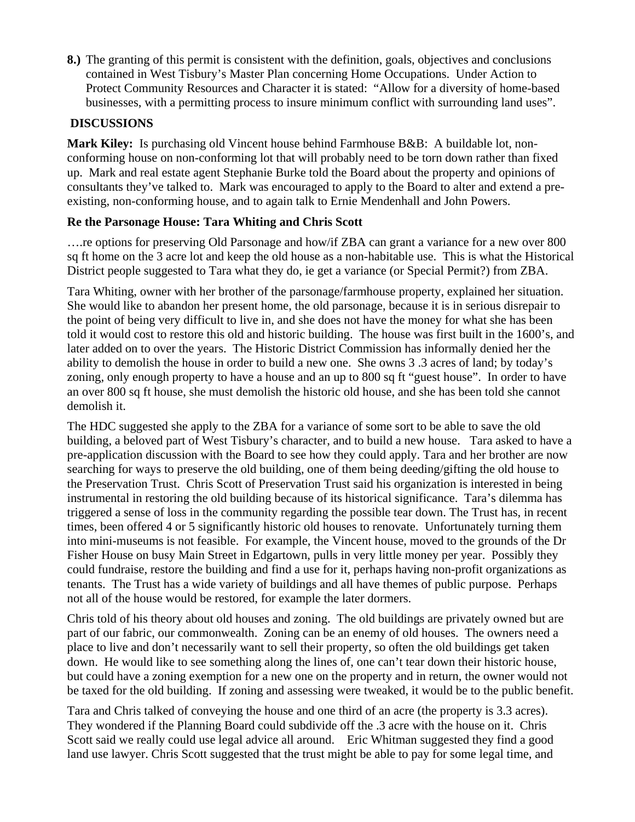**8.)** The granting of this permit is consistent with the definition, goals, objectives and conclusions contained in West Tisbury's Master Plan concerning Home Occupations. Under Action to Protect Community Resources and Character it is stated: "Allow for a diversity of home-based businesses, with a permitting process to insure minimum conflict with surrounding land uses".

# **DISCUSSIONS**

**Mark Kiley:** Is purchasing old Vincent house behind Farmhouse B&B: A buildable lot, nonconforming house on non-conforming lot that will probably need to be torn down rather than fixed up. Mark and real estate agent Stephanie Burke told the Board about the property and opinions of consultants they've talked to. Mark was encouraged to apply to the Board to alter and extend a preexisting, non-conforming house, and to again talk to Ernie Mendenhall and John Powers.

## **Re the Parsonage House: Tara Whiting and Chris Scott**

….re options for preserving Old Parsonage and how/if ZBA can grant a variance for a new over 800 sq ft home on the 3 acre lot and keep the old house as a non-habitable use. This is what the Historical District people suggested to Tara what they do, ie get a variance (or Special Permit?) from ZBA.

Tara Whiting, owner with her brother of the parsonage/farmhouse property, explained her situation. She would like to abandon her present home, the old parsonage, because it is in serious disrepair to the point of being very difficult to live in, and she does not have the money for what she has been told it would cost to restore this old and historic building. The house was first built in the 1600's, and later added on to over the years. The Historic District Commission has informally denied her the ability to demolish the house in order to build a new one. She owns 3 .3 acres of land; by today's zoning, only enough property to have a house and an up to 800 sq ft "guest house". In order to have an over 800 sq ft house, she must demolish the historic old house, and she has been told she cannot demolish it.

The HDC suggested she apply to the ZBA for a variance of some sort to be able to save the old building, a beloved part of West Tisbury's character, and to build a new house. Tara asked to have a pre-application discussion with the Board to see how they could apply. Tara and her brother are now searching for ways to preserve the old building, one of them being deeding/gifting the old house to the Preservation Trust. Chris Scott of Preservation Trust said his organization is interested in being instrumental in restoring the old building because of its historical significance. Tara's dilemma has triggered a sense of loss in the community regarding the possible tear down. The Trust has, in recent times, been offered 4 or 5 significantly historic old houses to renovate. Unfortunately turning them into mini-museums is not feasible. For example, the Vincent house, moved to the grounds of the Dr Fisher House on busy Main Street in Edgartown, pulls in very little money per year. Possibly they could fundraise, restore the building and find a use for it, perhaps having non-profit organizations as tenants. The Trust has a wide variety of buildings and all have themes of public purpose. Perhaps not all of the house would be restored, for example the later dormers.

Chris told of his theory about old houses and zoning. The old buildings are privately owned but are part of our fabric, our commonwealth. Zoning can be an enemy of old houses. The owners need a place to live and don't necessarily want to sell their property, so often the old buildings get taken down. He would like to see something along the lines of, one can't tear down their historic house, but could have a zoning exemption for a new one on the property and in return, the owner would not be taxed for the old building. If zoning and assessing were tweaked, it would be to the public benefit.

Tara and Chris talked of conveying the house and one third of an acre (the property is 3.3 acres). They wondered if the Planning Board could subdivide off the .3 acre with the house on it. Chris Scott said we really could use legal advice all around. Eric Whitman suggested they find a good land use lawyer. Chris Scott suggested that the trust might be able to pay for some legal time, and